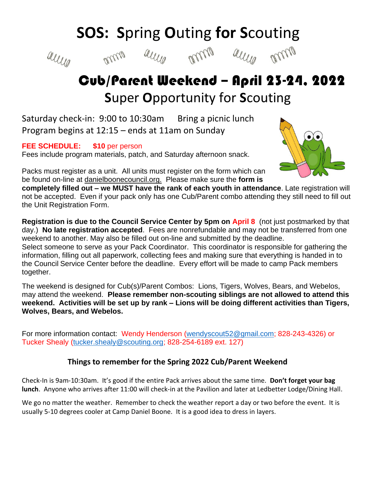## **SOS: S**pring **O**uting **for S**couting









## Cub/Parent Weekend – April 23-24, 2022  **S**uper **O**pportunity for **S**couting

Saturday check-in: 9:00 to 10:30am Bring a picnic lunch Program begins at 12:15 – ends at 11am on Sunday

**FEE SCHEDULE: \$10** per person

Fees include program materials, patch, and Saturday afternoon snack.



Packs must register as a unit. All units must register on the form which can be found on-line at danielboonecouncil.org. Please make sure the **form is** 

**completely filled out – we MUST have the rank of each youth in attendance**. Late registration will not be accepted. Even if your pack only has one Cub/Parent combo attending they still need to fill out the Unit Registration Form.

**Registration is due to the Council Service Center by 5pm on April 8** (not just postmarked by that day.) **No late registration accepted**. Fees are nonrefundable and may not be transferred from one weekend to another. May also be filled out on-line and submitted by the deadline.

Select someone to serve as your Pack Coordinator. This coordinator is responsible for gathering the information, filling out all paperwork, collecting fees and making sure that everything is handed in to the Council Service Center before the deadline. Every effort will be made to camp Pack members together.

The weekend is designed for Cub(s)/Parent Combos: Lions, Tigers, Wolves, Bears, and Webelos, may attend the weekend. **Please remember non-scouting siblings are not allowed to attend this weekend. Activities will be set up by rank – Lions will be doing different activities than Tigers, Wolves, Bears, and Webelos.** 

For more information contact: Wendy Henderson [\(wendyscout52@gmail.com;](mailto:wendyscout52@gmail.com) 828-243-4326) or Tucker Shealy [\(tucker.shealy@scouting.org;](mailto:tucker.shealy@scouting.org) 828-254-6189 ext. 127)

## **Things to remember for the Spring 2022 Cub/Parent Weekend**

Check-In is 9am-10:30am. It's good if the entire Pack arrives about the same time. **Don't forget your bag lunch**. Anyone who arrives after 11:00 will check-in at the Pavilion and later at Ledbetter Lodge/Dining Hall.

We go no matter the weather. Remember to check the weather report a day or two before the event. It is usually 5-10 degrees cooler at Camp Daniel Boone. It is a good idea to dress in layers.